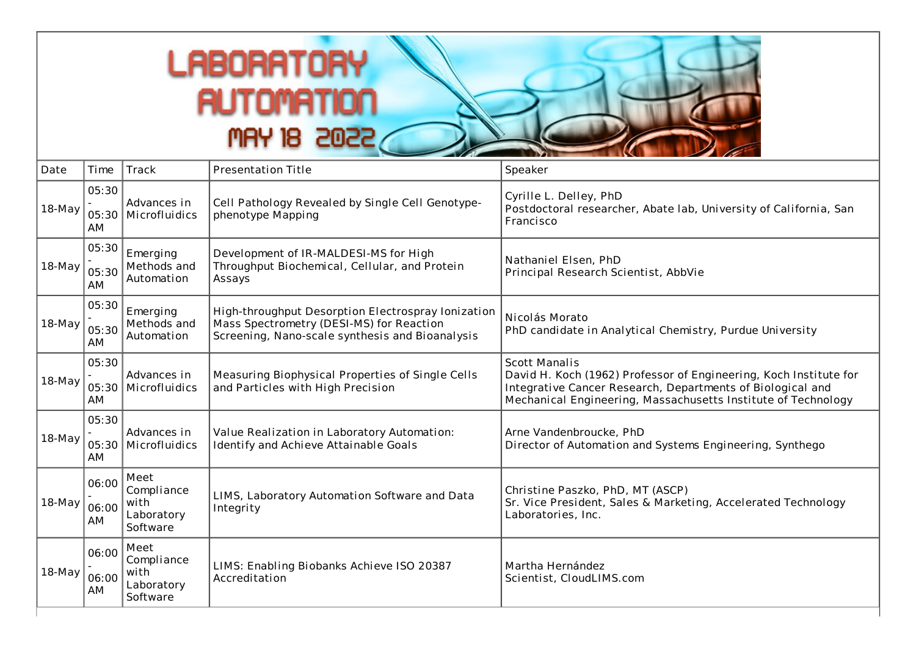## **LABORATORY AUTOMATION MAY 18 2022**

| Date     | Time                 | Track                                                | <b>Presentation Title</b>                                                                                                                         | Speaker                                                                                                                                                                                                                  |
|----------|----------------------|------------------------------------------------------|---------------------------------------------------------------------------------------------------------------------------------------------------|--------------------------------------------------------------------------------------------------------------------------------------------------------------------------------------------------------------------------|
| 18-May   | 05:30<br>AM          | Advances in<br>05:30 Microfluidics                   | Cell Pathology Revealed by Single Cell Genotype-<br>phenotype Mapping                                                                             | Cyrille L. Delley, PhD<br>Postdoctoral researcher, Abate lab, University of California, San<br>Francisco                                                                                                                 |
| $18-May$ | 05:30<br>05:30<br>AM | Emerging<br>Methods and<br>Automation                | Development of IR-MALDESI-MS for High<br>Throughput Biochemical, Cellular, and Protein<br>Assays                                                  | Nathaniel Elsen, PhD<br>Principal Research Scientist, AbbVie                                                                                                                                                             |
| 18-May   | 05:30<br>05:30<br>AM | Emerging<br>Methods and<br>Automation                | High-throughput Desorption Electrospray Ionization<br>Mass Spectrometry (DESI-MS) for Reaction<br>Screening, Nano-scale synthesis and Bioanalysis | Nicolás Morato<br>PhD candidate in Analytical Chemistry, Purdue University                                                                                                                                               |
| $18-May$ | 05:30<br>AM          | Advances in<br>05:30 Microfluidics                   | Measuring Biophysical Properties of Single Cells<br>and Particles with High Precision                                                             | <b>Scott Manalis</b><br>David H. Koch (1962) Professor of Engineering, Koch Institute for<br>Integrative Cancer Research, Departments of Biological and<br>Mechanical Engineering, Massachusetts Institute of Technology |
| $18-May$ | 05:30<br>AM          | Advances in<br>05:30   Microfluidics                 | Value Realization in Laboratory Automation:<br>Identify and Achieve Attainable Goals                                                              | Arne Vandenbroucke, PhD<br>Director of Automation and Systems Engineering, Synthego                                                                                                                                      |
| 18-May   | 06:00<br>06:00<br>AM | Meet<br>Compliance<br>with<br>Laboratory<br>Software | LIMS, Laboratory Automation Software and Data<br>Integrity                                                                                        | Christine Paszko, PhD, MT (ASCP)<br>Sr. Vice President, Sales & Marketing, Accelerated Technology<br>Laboratories, Inc.                                                                                                  |
| 18-May   | 06:00<br>06:00<br>AM | Meet<br>Compliance<br>with<br>Laboratory<br>Software | LIMS: Enabling Biobanks Achieve ISO 20387<br>Accreditation                                                                                        | Martha Hernández<br>Scientist, CloudLIMS.com                                                                                                                                                                             |